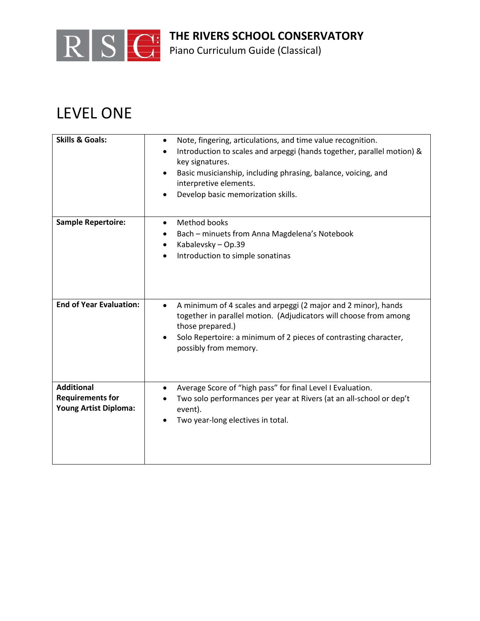

**THE RIVERS SCHOOL CONSERVATORY**

Piano Curriculum Guide (Classical)

## LEVEL ONE

| <b>Skills &amp; Goals:</b>                                            | Note, fingering, articulations, and time value recognition.<br>$\bullet$<br>Introduction to scales and arpeggi (hands together, parallel motion) &<br>key signatures.<br>Basic musicianship, including phrasing, balance, voicing, and<br>interpretive elements.<br>Develop basic memorization skills. |
|-----------------------------------------------------------------------|--------------------------------------------------------------------------------------------------------------------------------------------------------------------------------------------------------------------------------------------------------------------------------------------------------|
| <b>Sample Repertoire:</b>                                             | Method books<br>$\bullet$<br>Bach - minuets from Anna Magdelena's Notebook<br>Kabalevsky - Op.39<br>Introduction to simple sonatinas                                                                                                                                                                   |
| <b>End of Year Evaluation:</b>                                        | A minimum of 4 scales and arpeggi (2 major and 2 minor), hands<br>$\bullet$<br>together in parallel motion. (Adjudicators will choose from among<br>those prepared.)<br>Solo Repertoire: a minimum of 2 pieces of contrasting character,<br>possibly from memory.                                      |
| <b>Additional</b><br><b>Requirements for</b><br>Young Artist Diploma: | Average Score of "high pass" for final Level I Evaluation.<br>Two solo performances per year at Rivers (at an all-school or dep't<br>event).<br>Two year-long electives in total.                                                                                                                      |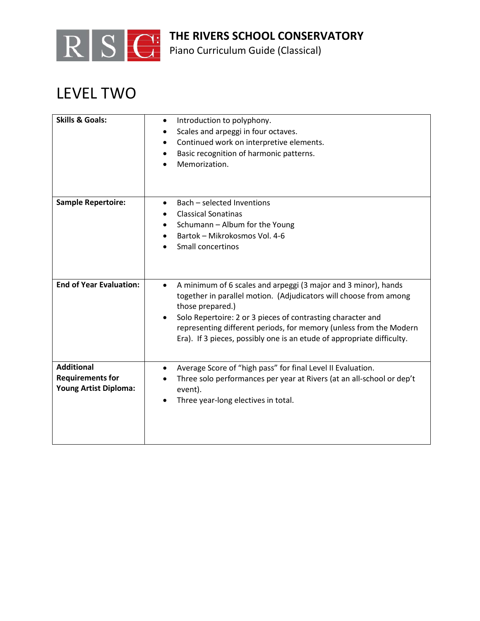

Piano Curriculum Guide (Classical)

## LEVEL TWO

| <b>Skills &amp; Goals:</b>                                                   | Introduction to polyphony.<br>$\bullet$<br>Scales and arpeggi in four octaves.<br>$\bullet$<br>Continued work on interpretive elements.<br>٠<br>Basic recognition of harmonic patterns.<br>Memorization.                                                                                                                                                                            |
|------------------------------------------------------------------------------|-------------------------------------------------------------------------------------------------------------------------------------------------------------------------------------------------------------------------------------------------------------------------------------------------------------------------------------------------------------------------------------|
| <b>Sample Repertoire:</b>                                                    | Bach - selected Inventions<br><b>Classical Sonatinas</b><br>Schumann - Album for the Young<br>Bartok - Mikrokosmos Vol. 4-6<br><b>Small concertinos</b>                                                                                                                                                                                                                             |
| <b>End of Year Evaluation:</b>                                               | A minimum of 6 scales and arpeggi (3 major and 3 minor), hands<br>$\bullet$<br>together in parallel motion. (Adjudicators will choose from among<br>those prepared.)<br>Solo Repertoire: 2 or 3 pieces of contrasting character and<br>representing different periods, for memory (unless from the Modern<br>Era). If 3 pieces, possibly one is an etude of appropriate difficulty. |
| <b>Additional</b><br><b>Requirements for</b><br><b>Young Artist Diploma:</b> | Average Score of "high pass" for final Level II Evaluation.<br>Three solo performances per year at Rivers (at an all-school or dep't<br>event).<br>Three year-long electives in total.<br>$\bullet$                                                                                                                                                                                 |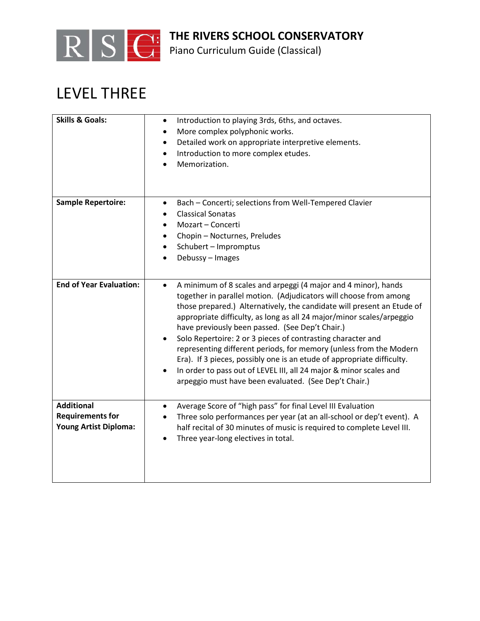

Piano Curriculum Guide (Classical)

## LEVEL THREE

| <b>Skills &amp; Goals:</b>                                            | Introduction to playing 3rds, 6ths, and octaves.<br>$\bullet$<br>More complex polyphonic works.<br>$\bullet$<br>Detailed work on appropriate interpretive elements.<br>٠<br>Introduction to more complex etudes.<br>٠<br>Memorization.                                                                                                                                                                                                                                                                                                                                                                                                                                                               |
|-----------------------------------------------------------------------|------------------------------------------------------------------------------------------------------------------------------------------------------------------------------------------------------------------------------------------------------------------------------------------------------------------------------------------------------------------------------------------------------------------------------------------------------------------------------------------------------------------------------------------------------------------------------------------------------------------------------------------------------------------------------------------------------|
| <b>Sample Repertoire:</b>                                             | Bach - Concerti; selections from Well-Tempered Clavier<br>$\bullet$<br><b>Classical Sonatas</b><br>Mozart - Concerti<br>$\bullet$<br>Chopin - Nocturnes, Preludes<br>Schubert - Impromptus<br>Debussy - Images<br>$\bullet$                                                                                                                                                                                                                                                                                                                                                                                                                                                                          |
| <b>End of Year Evaluation:</b>                                        | A minimum of 8 scales and arpeggi (4 major and 4 minor), hands<br>$\bullet$<br>together in parallel motion. (Adjudicators will choose from among<br>those prepared.) Alternatively, the candidate will present an Etude of<br>appropriate difficulty, as long as all 24 major/minor scales/arpeggio<br>have previously been passed. (See Dep't Chair.)<br>Solo Repertoire: 2 or 3 pieces of contrasting character and<br>representing different periods, for memory (unless from the Modern<br>Era). If 3 pieces, possibly one is an etude of appropriate difficulty.<br>In order to pass out of LEVEL III, all 24 major & minor scales and<br>arpeggio must have been evaluated. (See Dep't Chair.) |
| <b>Additional</b><br><b>Requirements for</b><br>Young Artist Diploma: | Average Score of "high pass" for final Level III Evaluation<br>$\bullet$<br>Three solo performances per year (at an all-school or dep't event). A<br>half recital of 30 minutes of music is required to complete Level III.<br>Three year-long electives in total.<br>$\bullet$                                                                                                                                                                                                                                                                                                                                                                                                                      |